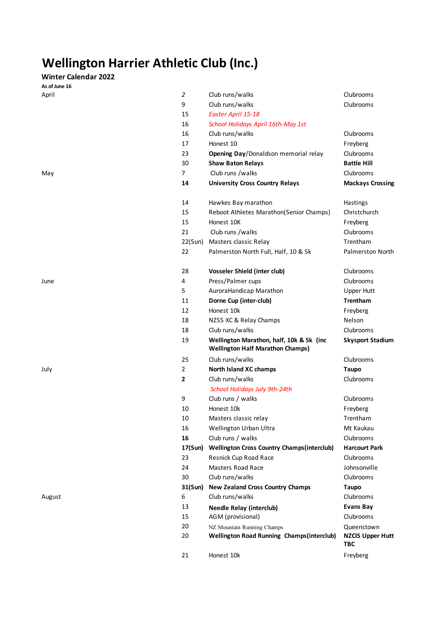## **Wellington Harrier Athletic Club (Inc.)**

## **Winter Calendar 2022**

**As of June 16**

| As of June 16 |                |                                                                                     |                                              |
|---------------|----------------|-------------------------------------------------------------------------------------|----------------------------------------------|
| April         | $\overline{2}$ | Club runs/walks                                                                     | Clubrooms                                    |
|               | 9              | Club runs/walks                                                                     | Clubrooms                                    |
|               | 15             | Easter April 15-18                                                                  |                                              |
|               | 16             | School Holidays April 16th-May 1st                                                  |                                              |
|               | 16             | Club runs/walks                                                                     | Clubrooms                                    |
|               | 17             | Honest 10                                                                           | Freyberg                                     |
|               | 23             | Opening Day/Donaldson memorial relay                                                | Clubrooms                                    |
|               | 30             | <b>Shaw Baton Relays</b>                                                            | <b>Battle Hill</b>                           |
| May           | $\overline{7}$ | Club runs /walks                                                                    | Clubrooms                                    |
|               | 14             | <b>University Cross Country Relays</b>                                              | <b>Mackays Crossing</b>                      |
|               | 14             | Hawkes Bay marathon                                                                 | Hastings                                     |
|               | 15             | Reboot Athletes Marathon(Senior Champs)                                             | Christchurch                                 |
|               | 15             | Honest 10K                                                                          | Freyberg                                     |
|               | 21             | Club runs /walks                                                                    | Clubrooms                                    |
|               | 22(Sun)        | Masters classic Relay                                                               | Trentham                                     |
|               | 22             | Palmerston North Full, Half, 10 & 5k                                                | Palmerston North                             |
|               |                |                                                                                     |                                              |
|               | 28             | <b>Vosseler Shield (inter club)</b>                                                 | Clubrooms                                    |
| June          | 4              | Press/Palmer cups                                                                   | Clubrooms                                    |
|               | 5              | AuroraHandicap Marathon                                                             | <b>Upper Hutt</b>                            |
|               | 11             | Dorne Cup (inter-club)                                                              | Trentham                                     |
|               | 12             | Honest 10k                                                                          | Freyberg                                     |
|               | 18             | NZSS XC & Relay Champs                                                              | Nelson                                       |
|               | 18             | Club runs/walks                                                                     | Clubrooms                                    |
|               | 19             | Wellington Marathon, half, 10k & 5k (inc<br><b>Wellington Half Marathon Champs)</b> | <b>Skysport Stadium</b>                      |
|               | 25             | Club runs/walks                                                                     | Clubrooms                                    |
| July          | 2              | North Island XC champs                                                              | <b>Taupo</b>                                 |
|               | $\overline{2}$ | Club runs/walks                                                                     | Clubrooms                                    |
|               |                | School Holidays July 9th-24th                                                       |                                              |
|               | 9              | Club runs / walks                                                                   | Clubrooms                                    |
|               | 10             | Honest 10k                                                                          | Freyberg                                     |
|               | 10             | Masters classic relay                                                               | Trentham                                     |
|               | 16             | Wellington Urban Ultra                                                              | Mt Kaukau                                    |
|               | 16             | Club runs / walks                                                                   | Clubrooms                                    |
|               | 17(Sun)        | <b>Wellington Cross Country Champs(interclub)</b>                                   | <b>Harcourt Park</b>                         |
|               | 23             | Resnick Cup Road Race                                                               | Clubrooms                                    |
|               | 24             | <b>Masters Road Race</b>                                                            | Johnsonville                                 |
|               | 30             | Club runs/walks                                                                     | Clubrooms                                    |
|               | 31(Sun)        | <b>New Zealand Cross Country Champs</b>                                             | Taupo                                        |
| August        | 6              | Club runs/walks                                                                     | Clubrooms                                    |
|               | 13             | <b>Needle Relay (interclub)</b>                                                     | <b>Evans Bay</b>                             |
|               | 15             | AGM (provisional)                                                                   | Clubrooms                                    |
|               | 20<br>20       | NZ Mountain Running Champs<br><b>Wellington Road Running Champs(interclub)</b>      | Queenstown<br><b>NZCIS Upper Hutt</b><br>TBC |
|               | 21             | Honest 10k                                                                          | Freyberg                                     |